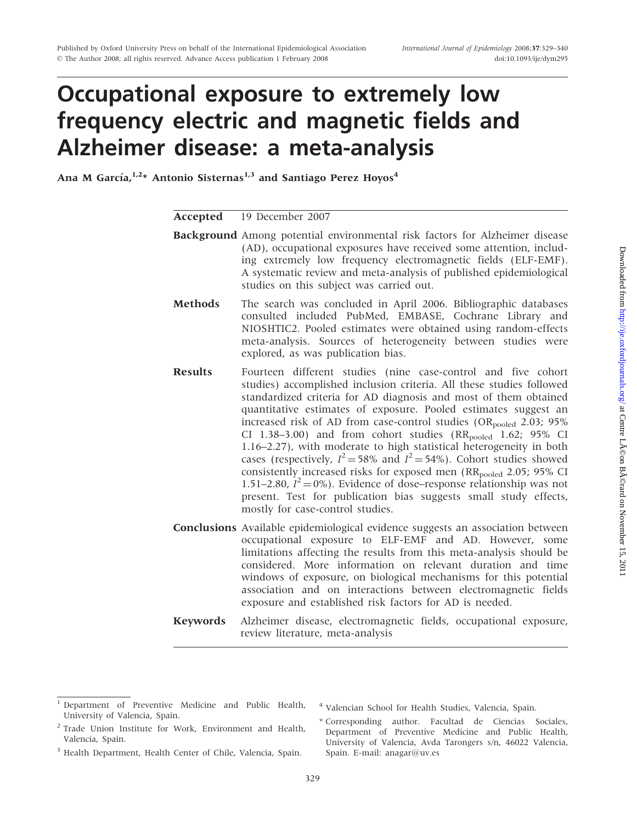# Occupational exposure to extremely low frequency electric and magnetic fields and Alzheimer disease: a meta-analysis

Ana M García,<sup>1,2\*</sup> Antonio Sisternas<sup>1,3</sup> and Santiago Perez Hovos<sup>4</sup>

| Accepted        | 19 December 2007                                                                                                                                                                                                                                                                                                                                                                                                                                                                                                                                                                                                                                                                                                                                                                                                                                            |
|-----------------|-------------------------------------------------------------------------------------------------------------------------------------------------------------------------------------------------------------------------------------------------------------------------------------------------------------------------------------------------------------------------------------------------------------------------------------------------------------------------------------------------------------------------------------------------------------------------------------------------------------------------------------------------------------------------------------------------------------------------------------------------------------------------------------------------------------------------------------------------------------|
|                 | <b>Background</b> Among potential environmental risk factors for Alzheimer disease<br>(AD), occupational exposures have received some attention, includ-<br>ing extremely low frequency electromagnetic fields (ELF-EMF).<br>A systematic review and meta-analysis of published epidemiological<br>studies on this subject was carried out.                                                                                                                                                                                                                                                                                                                                                                                                                                                                                                                 |
| <b>Methods</b>  | The search was concluded in April 2006. Bibliographic databases<br>consulted included PubMed, EMBASE, Cochrane Library and<br>NIOSHTIC2. Pooled estimates were obtained using random-effects<br>meta-analysis. Sources of heterogeneity between studies were<br>explored, as was publication bias.                                                                                                                                                                                                                                                                                                                                                                                                                                                                                                                                                          |
| <b>Results</b>  | Fourteen different studies (nine case-control and five cohort<br>studies) accomplished inclusion criteria. All these studies followed<br>standardized criteria for AD diagnosis and most of them obtained<br>quantitative estimates of exposure. Pooled estimates suggest an<br>increased risk of AD from case-control studies (OR <sub>pooled</sub> 2.03; 95%<br>CI 1.38-3.00) and from cohort studies (RRpooled 1.62; 95% CI<br>1.16-2.27), with moderate to high statistical heterogeneity in both<br>cases (respectively, $I^2 = 58\%$ and $I^2 = 54\%$ ). Cohort studies showed<br>consistently increased risks for exposed men (RR <sub>pooled</sub> 2.05; 95% CI<br>1.51–2.80, $I^2 = 0\%$ ). Evidence of dose–response relationship was not<br>present. Test for publication bias suggests small study effects,<br>mostly for case-control studies. |
|                 | <b>Conclusions</b> Available epidemiological evidence suggests an association between<br>occupational exposure to ELF-EMF and AD. However, some<br>limitations affecting the results from this meta-analysis should be<br>considered. More information on relevant duration and time<br>windows of exposure, on biological mechanisms for this potential<br>association and on interactions between electromagnetic fields<br>exposure and established risk factors for AD is needed.                                                                                                                                                                                                                                                                                                                                                                       |
| <b>Keywords</b> | Alzheimer disease, electromagnetic fields, occupational exposure,<br>review literature, meta-analysis                                                                                                                                                                                                                                                                                                                                                                                                                                                                                                                                                                                                                                                                                                                                                       |

<sup>1</sup> Department of Preventive Medicine and Public Health, University of Valencia, Spain.

<sup>4</sup> Valencian School for Health Studies, Valencia, Spain.

<sup>2</sup> Trade Union Institute for Work, Environment and Health, Valencia, Spain.

<sup>&</sup>lt;sup>3</sup> Health Department, Health Center of Chile, Valencia, Spain.

<sup>\*</sup> Corresponding author. Facultad de Ciencias Sociales, Department of Preventive Medicine and Public Health, University of Valencia, Avda Tarongers s/n, 46022 Valencia, Spain. E-mail: anagar@uv.es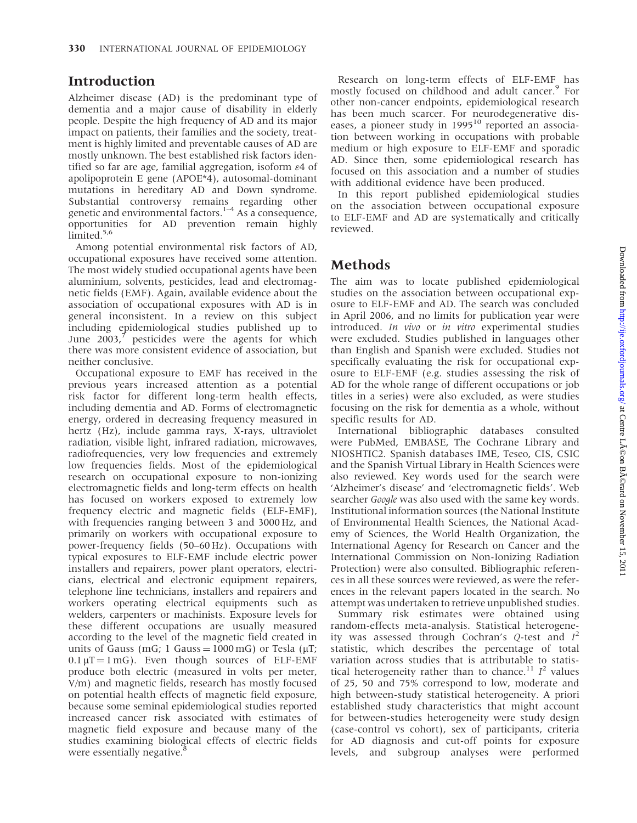## Introduction

Alzheimer disease (AD) is the predominant type of dementia and a major cause of disability in elderly people. Despite the high frequency of AD and its major impact on patients, their families and the society, treatment is highly limited and preventable causes of AD are mostly unknown. The best established risk factors identified so far are age, familial aggregation, isoform  $\varepsilon$ 4 of apolipoprotein E gene (APOE\*4), autosomal-dominant mutations in hereditary AD and Down syndrome. Substantial controversy remains regarding other genetic and environmental factors.1–4 As a consequence, opportunities for AD prevention remain highly limited.<sup>5,6</sup>

Among potential environmental risk factors of AD, occupational exposures have received some attention. The most widely studied occupational agents have been aluminium, solvents, pesticides, lead and electromagnetic fields (EMF). Again, available evidence about the association of occupational exposures with AD is in general inconsistent. In a review on this subject including epidemiological studies published up to June  $2003$ , pesticides were the agents for which there was more consistent evidence of association, but neither conclusive.

Occupational exposure to EMF has received in the previous years increased attention as a potential risk factor for different long-term health effects, including dementia and AD. Forms of electromagnetic energy, ordered in decreasing frequency measured in hertz (Hz), include gamma rays, X-rays, ultraviolet radiation, visible light, infrared radiation, microwaves, radiofrequencies, very low frequencies and extremely low frequencies fields. Most of the epidemiological research on occupational exposure to non-ionizing electromagnetic fields and long-term effects on health has focused on workers exposed to extremely low frequency electric and magnetic fields (ELF-EMF), with frequencies ranging between 3 and 3000 Hz, and primarily on workers with occupational exposure to power-frequency fields (50–60 Hz). Occupations with typical exposures to ELF-EMF include electric power installers and repairers, power plant operators, electricians, electrical and electronic equipment repairers, telephone line technicians, installers and repairers and workers operating electrical equipments such as welders, carpenters or machinists. Exposure levels for these different occupations are usually measured according to the level of the magnetic field created in units of Gauss (mG; 1 Gauss  $= 1000 \,\mathrm{mG}$ ) or Tesla ( $\mu$ T;  $0.1 \mu T = 1 \text{ mG}$ . Even though sources of ELF-EMF produce both electric (measured in volts per meter, V/m) and magnetic fields, research has mostly focused on potential health effects of magnetic field exposure, because some seminal epidemiological studies reported increased cancer risk associated with estimates of magnetic field exposure and because many of the studies examining biological effects of electric fields were essentially negative.<sup>8</sup>

Research on long-term effects of ELF-EMF has mostly focused on childhood and adult cancer.<sup>9</sup> For other non-cancer endpoints, epidemiological research has been much scarcer. For neurodegenerative diseases, a pioneer study in  $1995^{10}$  reported an association between working in occupations with probable medium or high exposure to ELF-EMF and sporadic AD. Since then, some epidemiological research has focused on this association and a number of studies with additional evidence have been produced.

In this report published epidemiological studies on the association between occupational exposure to ELF-EMF and AD are systematically and critically reviewed.

# Methods

The aim was to locate published epidemiological studies on the association between occupational exposure to ELF-EMF and AD. The search was concluded in April 2006, and no limits for publication year were introduced. In vivo or in vitro experimental studies were excluded. Studies published in languages other than English and Spanish were excluded. Studies not specifically evaluating the risk for occupational exposure to ELF-EMF (e.g. studies assessing the risk of AD for the whole range of different occupations or job titles in a series) were also excluded, as were studies focusing on the risk for dementia as a whole, without specific results for AD.

International bibliographic databases consulted were PubMed, EMBASE, The Cochrane Library and NIOSHTIC2. Spanish databases IME, Teseo, CIS, CSIC and the Spanish Virtual Library in Health Sciences were also reviewed. Key words used for the search were 'Alzheimer's disease' and 'electromagnetic fields'. Web searcher *Google* was also used with the same key words. Institutional information sources (the National Institute of Environmental Health Sciences, the National Academy of Sciences, the World Health Organization, the International Agency for Research on Cancer and the International Commission on Non-Ionizing Radiation Protection) were also consulted. Bibliographic references in all these sources were reviewed, as were the references in the relevant papers located in the search. No attempt was undertaken to retrieve unpublished studies.

Summary risk estimates were obtained using random-effects meta-analysis. Statistical heterogeneity was assessed through Cochran's Q-test and  $I^2$ statistic, which describes the percentage of total variation across studies that is attributable to statistical heterogeneity rather than to chance.<sup>11</sup>  $I^2$  values of 25, 50 and 75% correspond to low, moderate and high between-study statistical heterogeneity. A priori established study characteristics that might account for between-studies heterogeneity were study design (case-control vs cohort), sex of participants, criteria for AD diagnosis and cut-off points for exposure levels, and subgroup analyses were performed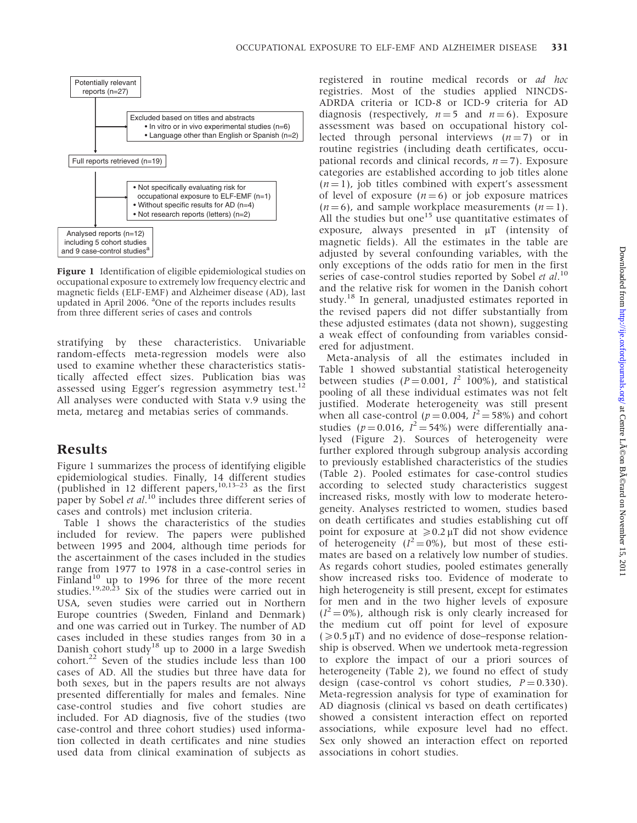

Figure 1 Identification of eligible epidemiological studies on occupational exposure to extremely low frequency electric and magnetic fields (ELF-EMF) and Alzheimer disease (AD), last updated in April 2006. <sup>a</sup>One of the reports includes results from three different series of cases and controls

stratifying by these characteristics. Univariable random-effects meta-regression models were also used to examine whether these characteristics statistically affected effect sizes. Publication bias was assessed using Egger's regression asymmetry test.<sup>12</sup> All analyses were conducted with Stata v.9 using the meta, metareg and metabias series of commands.

## Results

Figure 1 summarizes the process of identifying eligible epidemiological studies. Finally, 14 different studies (published in 12 different papers,  $10,13-23$  as the first paper by Sobel et al.<sup>10</sup> includes three different series of cases and controls) met inclusion criteria.

Table 1 shows the characteristics of the studies included for review. The papers were published between 1995 and 2004, although time periods for the ascertainment of the cases included in the studies range from 1977 to 1978 in a case-control series in Finland<sup>10</sup> up to 1996 for three of the more recent studies.<sup>19,20,23</sup> Six of the studies were carried out in USA, seven studies were carried out in Northern Europe countries (Sweden, Finland and Denmark) and one was carried out in Turkey. The number of AD cases included in these studies ranges from 30 in a Danish cohort study<sup>18</sup> up to 2000 in a large Swedish cohort. $^{22}$  Seven of the studies include less than 100 cases of AD. All the studies but three have data for both sexes, but in the papers results are not always presented differentially for males and females. Nine case-control studies and five cohort studies are included. For AD diagnosis, five of the studies (two case-control and three cohort studies) used information collected in death certificates and nine studies used data from clinical examination of subjects as registered in routine medical records or ad hoc registries. Most of the studies applied NINCDS-ADRDA criteria or ICD-8 or ICD-9 criteria for AD diagnosis (respectively,  $n = 5$  and  $n = 6$ ). Exposure assessment was based on occupational history collected through personal interviews  $(n=7)$  or in routine registries (including death certificates, occupational records and clinical records,  $n = 7$ ). Exposure categories are established according to job titles alone  $(n = 1)$ , job titles combined with expert's assessment of level of exposure  $(n = 6)$  or job exposure matrices  $(n = 6)$ , and sample workplace measurements  $(n = 1)$ . All the studies but one<sup>15</sup> use quantitative estimates of exposure, always presented in  $\mu$ T (intensity of magnetic fields). All the estimates in the table are adjusted by several confounding variables, with the only exceptions of the odds ratio for men in the first series of case-control studies reported by Sobel et al.<sup>10</sup> and the relative risk for women in the Danish cohort study.<sup>18</sup> In general, unadjusted estimates reported in the revised papers did not differ substantially from these adjusted estimates (data not shown), suggesting a weak effect of confounding from variables considered for adjustment.

Meta-analysis of all the estimates included in Table 1 showed substantial statistical heterogeneity between studies ( $P = 0.001$ ,  $I^2$  100%), and statistical pooling of all these individual estimates was not felt justified. Moderate heterogeneity was still present when all case-control ( $p = 0.004$ ,  $\hat{I}^2 = 58\%$ ) and cohort studies ( $p = 0.016$ ,  $I^2 = 54\%$ ) were differentially analysed (Figure 2). Sources of heterogeneity were further explored through subgroup analysis according to previously established characteristics of the studies (Table 2). Pooled estimates for case-control studies according to selected study characteristics suggest increased risks, mostly with low to moderate heterogeneity. Analyses restricted to women, studies based on death certificates and studies establishing cut off point for exposure at  $\geq 0.2 \mu T$  did not show evidence of heterogeneity  $(I^2=0\%)$ , but most of these estimates are based on a relatively low number of studies. As regards cohort studies, pooled estimates generally show increased risks too. Evidence of moderate to high heterogeneity is still present, except for estimates for men and in the two higher levels of exposure  $(I^2 = 0\%)$ , although risk is only clearly increased for the medium cut off point for level of exposure  $(20.5 \mu T)$  and no evidence of dose–response relationship is observed. When we undertook meta-regression to explore the impact of our a priori sources of heterogeneity (Table 2), we found no effect of study design (case-control vs cohort studies,  $P = 0.330$ ). Meta-regression analysis for type of examination for AD diagnosis (clinical vs based on death certificates) showed a consistent interaction effect on reported associations, while exposure level had no effect. Sex only showed an interaction effect on reported associations in cohort studies.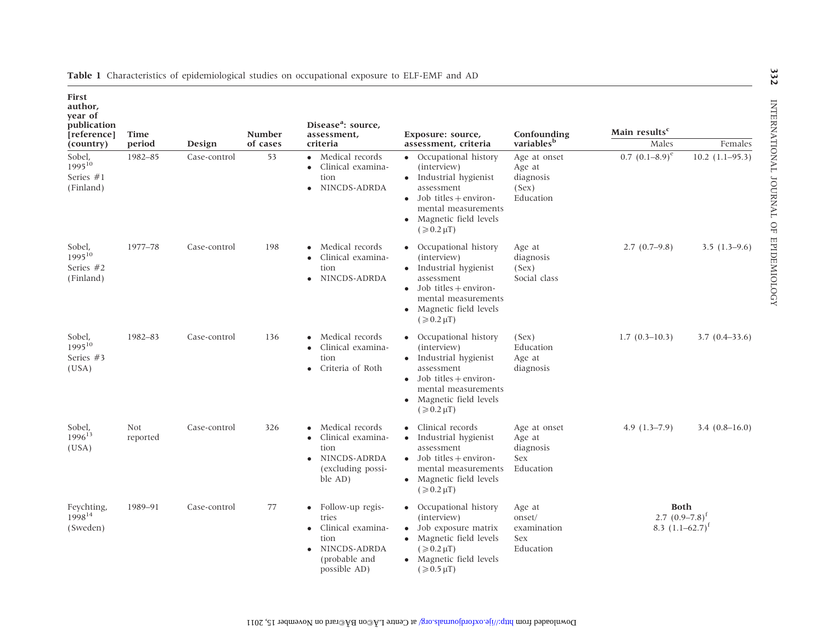| First<br>author,<br>year of<br>publication<br>[reference]<br>(country) | <b>Time</b><br>period  | Design       | <b>Number</b><br>of cases | Disease <sup>a</sup> : source,<br>assessment,<br>criteria                                            | Exposure: source,<br>assessment, criteria                                                                                                                                                             | Confounding<br>variables <sup>b</sup>                     | Main results <sup>c</sup><br>Males                     | Females             |
|------------------------------------------------------------------------|------------------------|--------------|---------------------------|------------------------------------------------------------------------------------------------------|-------------------------------------------------------------------------------------------------------------------------------------------------------------------------------------------------------|-----------------------------------------------------------|--------------------------------------------------------|---------------------|
| Sobel,<br>$1995^{10}$<br>Series #1<br>(Finland)                        | 1982-85                | Case-control | 53                        | Medical records<br>$\bullet$<br>Clinical examina-<br>$\bullet$<br>tion<br>NINCDS-ADRDA               | • Occupational history<br>(interview)<br>Industrial hygienist<br>$\bullet$<br>assessment<br>Job titles $+$ environ-<br>mental measurements<br>Magnetic field levels<br>$($ $\geqslant$ 0.2 $\mu$ T)   | Age at onset<br>Age at<br>diagnosis<br>(Sex)<br>Education | 0.7 $(0.1-8.9)^e$                                      | $10.2$ $(1.1-95.3)$ |
| Sobel,<br>$1995^{10}$<br>Series #2<br>(Finland)                        | 1977-78                | Case-control | 198                       | Medical records<br>Clinical examina-<br>tion<br>NINCDS-ADRDA                                         | • Occupational history<br>(interview)<br>• Industrial hygienist<br>assessment<br>Job titles + environ-<br>mental measurements<br>Magnetic field levels<br>$($ $\geqslant$ 0.2 $\mu$ T)                | Age at<br>diagnosis<br>(Sex)<br>Social class              | $2.7(0.7-9.8)$                                         | $3.5(1.3-9.6)$      |
| Sobel,<br>$1995^{10}$<br>Series #3<br>(USA)                            | 1982-83                | Case-control | 136                       | Medical records<br>Clinical examina-<br>tion<br>Criteria of Roth                                     | • Occupational history<br>(interview)<br>• Industrial hygienist<br>assessment<br>Job titles $+$ environ-<br>mental measurements<br>Magnetic field levels<br>$\bullet$<br>$($ $\geqslant$ 0.2 $\mu$ T) | (Sex)<br>Education<br>Age at<br>diagnosis                 | $1.7(0.3-10.3)$                                        | $3.7(0.4-33.6)$     |
| Sobel,<br>$1996^{13}$<br>(USA)                                         | <b>Not</b><br>reported | Case-control | 326                       | Medical records<br>Clinical examina-<br>tion<br>NINCDS-ADRDA<br>(excluding possi-<br>ble AD)         | Clinical records<br>$\bullet$<br>Industrial hygienist<br>$\bullet$<br>assessment<br>Job titles $+$ environ-<br>mental measurements<br>• Magnetic field levels<br>$($ $\geqslant$ 0.2 $\mu$ T)         | Age at onset<br>Age at<br>diagnosis<br>Sex<br>Education   | $4.9(1.3-7.9)$                                         | $3.4(0.8-16.0)$     |
| Feychting,<br>$1998^{14}$<br>(Sweden)                                  | 1989-91                | Case-control | 77                        | Follow-up regis-<br>$\bullet$<br>tries<br>Clinical examina-<br>tion<br>NINCDS-ADRDA<br>(probable and | • Occupational history<br>(interview)<br>Job exposure matrix<br>Magnetic field levels<br>$($ $\geqslant$ 0.2 $\mu$ T)<br>• Magnetic field levels                                                      | Age at<br>onset/<br>examination<br>Sex<br>Education       | <b>Both</b><br>2.7 $(0.9-7.8)^t$<br>8.3 $(1.1-62.7)^t$ |                     |

#### **Table 1** Characteristics of epidemiological studies on occupational exposure to ELF-EMF and AD

(  $\geqslant$  0.5  $\mu$ T)

possible AD)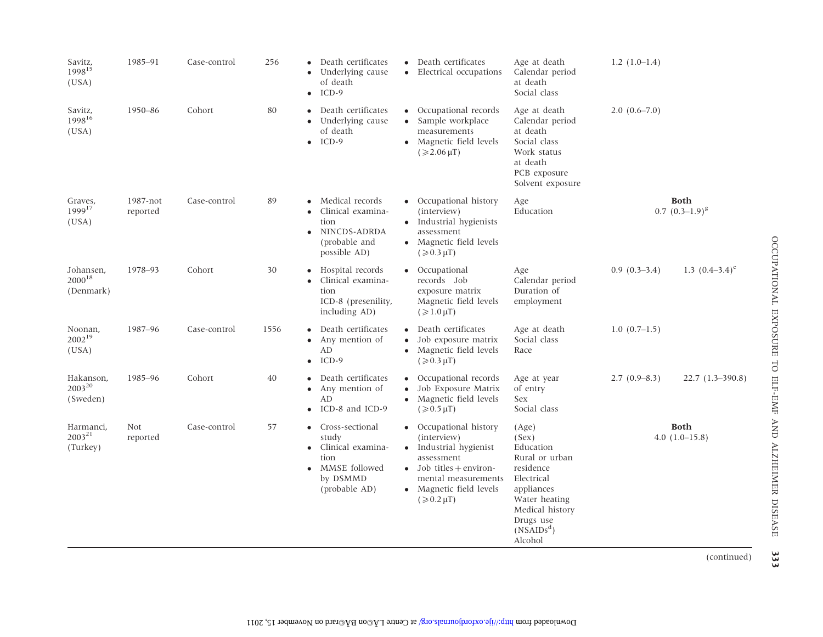| Savitz,<br>1998 <sup>15</sup><br>(USA)      | 1985-91                | Case-control | 256  | Death certificates<br>Underlying cause<br>of death<br>$ICD-9$<br>$\bullet$                                                                 | $\bullet$<br>$\bullet$ | Death certificates<br>Electrical occupations                                                                                                                                 | Age at death<br>Calendar period<br>at death<br>Social class                                                                                                                  | $1.2(1.0-1.4)$   |                                   |
|---------------------------------------------|------------------------|--------------|------|--------------------------------------------------------------------------------------------------------------------------------------------|------------------------|------------------------------------------------------------------------------------------------------------------------------------------------------------------------------|------------------------------------------------------------------------------------------------------------------------------------------------------------------------------|------------------|-----------------------------------|
| Savitz,<br>199816<br>(USA)                  | 1950-86                | Cohort       | 80   | Death certificates<br>Underlying cause<br>of death<br>$ICD-9$                                                                              | $\bullet$              | • Occupational records<br>Sample workplace<br>measurements<br>Magnetic field levels<br>$\approx$ 2.06 $\mu$ T)                                                               | Age at death<br>Calendar period<br>at death<br>Social class<br>Work status<br>at death<br>PCB exposure<br>Solvent exposure                                                   | $2.0(0.6 - 7.0)$ |                                   |
| Graves,<br>$1999^{17}$<br>(USA)             | 1987-not<br>reported   | Case-control | 89   | Medical records<br>$\bullet$<br>Clinical examina-<br>$\bullet$<br>tion<br>NINCDS-ADRDA<br>(probable and<br>possible AD)                    | $\bullet$              | Occupational history<br>(interview)<br>Industrial hygienists<br>assessment<br>• Magnetic field levels<br>$($ $\geqslant$ 0.3 $\mu$ T)                                        | Age<br>Education                                                                                                                                                             |                  | <b>Both</b><br>$0.7(0.3-1.9)^{g}$ |
| Johansen,<br>$2000^{18}$<br>(Denmark)       | 1978-93                | Cohort       | 30   | Hospital records<br>$\bullet$<br>Clinical examina-<br>$\bullet$<br>tion<br>ICD-8 (presenility,<br>including AD)                            | $\bullet$              | Occupational<br>records Job<br>exposure matrix<br>Magnetic field levels<br>$\approx 1.0 \,\mu\text{T}$                                                                       | Age<br>Calendar period<br>Duration of<br>employment                                                                                                                          | $0.9(0.3-3.4)$   | 1.3 $(0.4-3.4)^e$                 |
| Noonan,<br>$2002^{19}$<br>(USA)             | 1987-96                | Case-control | 1556 | Death certificates<br>Any mention of<br>$\bullet$<br>AD<br>$ICD-9$<br>$\bullet$                                                            |                        | Death certificates<br>Job exposure matrix<br>Magnetic field levels<br>$( \ge 0.3 \mu T)$                                                                                     | Age at death<br>Social class<br>Race                                                                                                                                         | $1.0(0.7-1.5)$   |                                   |
| Hakanson,<br>2003 <sup>20</sup><br>(Sweden) | 1985-96                | Cohort       | 40   | Death certificates<br>Any mention of<br>$\bullet$<br>AD<br>ICD-8 and ICD-9                                                                 | $\bullet$<br>$\bullet$ | Occupational records<br>Job Exposure Matrix<br>Magnetic field levels<br>$($ $\geqslant$ 0.5 $\mu$ T)                                                                         | Age at year<br>of entry<br>Sex<br>Social class                                                                                                                               | $2.7(0.9-8.3)$   | $22.7(1.3-390.8)$                 |
| Harmanci,<br>$2003^{21}$<br>(Turkey)        | <b>Not</b><br>reported | Case-control | 57   | Cross-sectional<br>$\bullet$<br>study<br>Clinical examina-<br>$\bullet$<br>tion<br>MMSE followed<br>$\bullet$<br>by DSMMD<br>(probable AD) | $\bullet$<br>$\bullet$ | • Occupational history<br>(interview)<br>Industrial hygienist<br>assessment<br>Job titles $+$ environ-<br>mental measurements<br>Magnetic field levels<br>$( \ge 0.2 \mu T)$ | (Age)<br>(Sex)<br>Education<br>Rural or urban<br>residence<br>Electrical<br>appliances<br>Water heating<br>Medical history<br>Drugs use<br>(NSAIDS <sup>d</sup> )<br>Alcohol |                  | <b>Both</b><br>$4.0(1.0-15.8)$    |

(continued)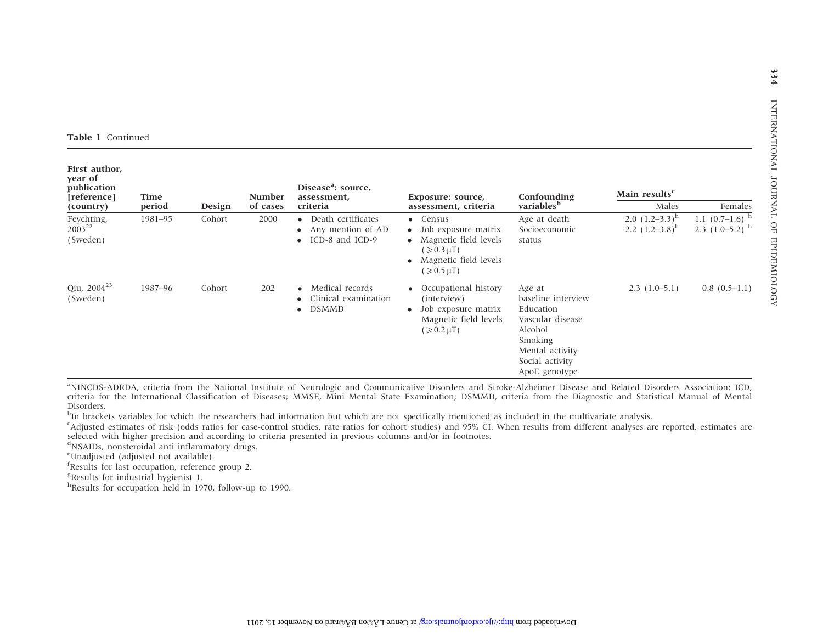| First author,<br>year of<br>publication<br>[reference]<br>(country) | Time<br>period | Design | <b>Number</b><br>of cases | Disease <sup>a</sup> : source,<br>assessment,<br>criteria                  | Exposure: source,<br>assessment, criteria                                                                                                                             | Confounding<br>variables <sup>b</sup>                                                                                                      | Main results <sup>c</sup><br>Males       | Females                                  |
|---------------------------------------------------------------------|----------------|--------|---------------------------|----------------------------------------------------------------------------|-----------------------------------------------------------------------------------------------------------------------------------------------------------------------|--------------------------------------------------------------------------------------------------------------------------------------------|------------------------------------------|------------------------------------------|
| Feychting,<br>$2003^{22}$<br>(Sweden)                               | 1981-95        | Cohort | 2000                      | • Death certificates<br>Any mention of AD<br>ICD-8 and ICD-9<br>$\bullet$  | $\bullet$ Census<br>• Job exposure matrix<br>• Magnetic field levels<br>$\geqslant$ 0.3 µT)<br>Magnetic field levels<br>$\bullet$<br>$\approx 0.5 \,\mathrm{\upmu T}$ | Age at death<br>Socioeconomic<br>status                                                                                                    | 2.0 $(1.2-3.3)^{h}$<br>2.2 $(1.2-3.8)^n$ | 1.1 $(0.7-1.6)^h$<br>2.3 $(1.0-5.2)^{h}$ |
| Qiu, $2004^{23}$<br>(Sweden)                                        | 1987-96        | Cohort | 202                       | Medical records<br>$\bullet$<br>Clinical examination<br>DSMMD<br>$\bullet$ | Occupational history<br>$\bullet$<br>(interview)<br>Job exposure matrix<br>$\bullet$<br>Magnetic field levels<br>$\approx 0.2 \,\mu T$                                | Age at<br>baseline interview<br>Education<br>Vascular disease<br>Alcohol<br>Smoking<br>Mental activity<br>Social activity<br>ApoE genotype | $2.3(1.0-5.1)$                           | $0.8(0.5-1.1)$                           |

<sup>a</sup>NINCDS-ADRDA, criteria from the National Institute of Neurologic and Communicative Disorders and Stroke-Alzheimer Disease and Related Disorders Association; ICD, criteria for the International Classification of Diseases; MMSE, Mini Mental State Examination; DSMMD, criteria from the Diagnostic and Statistical Manual of Mental Disorders.

<sup>b</sup>In brackets variables for which the researchers had information but which are not specifically mentioned as included in the multivariate analysis.

<sup>c</sup>Adjusted estimates of risk (odds ratios for case-control studies, rate ratios for cohort studies) and 95% CI. When results from different analyses are reported, estimates are selected with higher precision and according to criteria presented in previous columns and/or in footnotes.

<sup>d</sup>NSAIDs, nonsteroidal anti inflammatory drugs.

eUnadjusted (adjusted not available).

fResults for last occupation, reference group 2.

<sup>g</sup>Results for industrial hygienist 1.

hResults for occupation held in 1970, follow-up to 1990.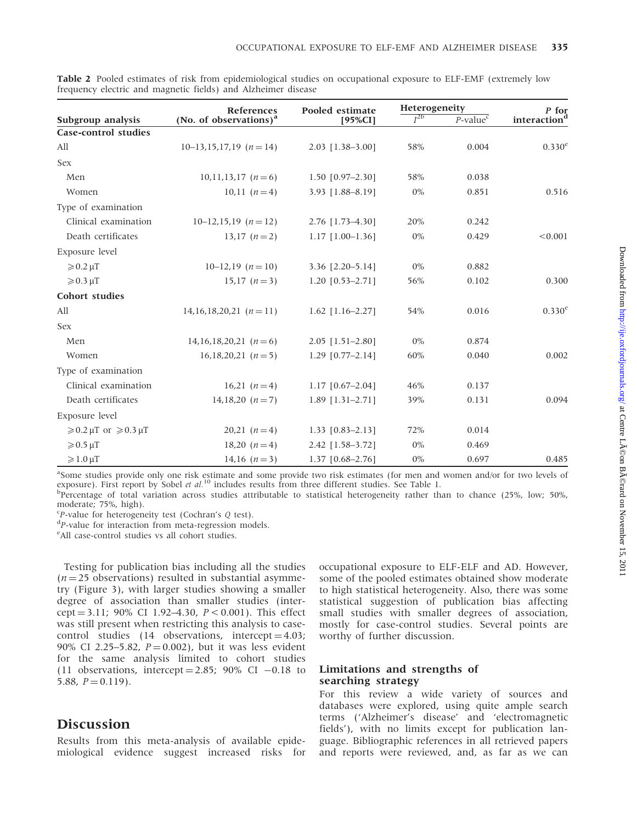|                                          | References                       | Pooled estimate        | Heterogeneity   | $P$ for                 |                          |
|------------------------------------------|----------------------------------|------------------------|-----------------|-------------------------|--------------------------|
| Subgroup analysis                        | (No. of observations) $^{\rm a}$ | [95%CI]                | $I^{\text{2b}}$ | $P$ -value <sup>c</sup> | interaction <sup>d</sup> |
| Case-control studies                     |                                  |                        |                 |                         |                          |
| All                                      | $10-13,15,17,19$ $(n=14)$        | 2.03 [1.38-3.00]       | 58%             | 0.004                   | $0.330^e$                |
| <b>Sex</b>                               |                                  |                        |                 |                         |                          |
| Men                                      | 10,11,13,17 $(n=6)$              | $1.50$ [0.97-2.30]     | 58%             | 0.038                   |                          |
| Women                                    | 10.11 $(n=4)$                    | 3.93 [1.88-8.19]       | $0\%$           | 0.851                   | 0.516                    |
| Type of examination                      |                                  |                        |                 |                         |                          |
| Clinical examination                     | $10-12,15,19$ $(n=12)$           | 2.76 [1.73-4.30]       | 20%             | 0.242                   |                          |
| Death certificates                       | 13,17 $(n=2)$                    | $1.17$ [1.00-1.36]     | $0\%$           | 0.429                   | < 0.001                  |
| Exposure level                           |                                  |                        |                 |                         |                          |
| $\geqslant$ 0.2 µT                       | $10-12,19$ $(n=10)$              | 3.36 [2.20-5.14]       | $0\%$           | 0.882                   |                          |
| $\geqslant$ 0.3 µT                       | 15,17 $(n=3)$                    | $1.20$ [0.53-2.71]     | 56%             | 0.102                   | 0.300                    |
| <b>Cohort studies</b>                    |                                  |                        |                 |                         |                          |
| All                                      | 14,16,18,20,21 $(n=11)$          | $1.62$ [1.16-2.27]     | 54%             | 0.016                   | $0.330^e$                |
| Sex                                      |                                  |                        |                 |                         |                          |
| Men                                      | 14,16,18,20,21 $(n=6)$           | $2.05$ [1.51-2.80]     | $0\%$           | 0.874                   |                          |
| Women                                    | 16,18,20,21 $(n=5)$              | $1.29$ [0.77-2.14]     | 60%             | 0.040                   | 0.002                    |
| Type of examination                      |                                  |                        |                 |                         |                          |
| Clinical examination                     | 16,21 $(n=4)$                    | $1.17$ $[0.67 - 2.04]$ | 46%             | 0.137                   |                          |
| Death certificates                       | 14,18,20 $(n=7)$                 | $1.89$ [1.31-2.71]     | 39%             | 0.131                   | 0.094                    |
| Exposure level                           |                                  |                        |                 |                         |                          |
| $\geqslant$ 0.2 µT or $\geqslant$ 0.3 µT | 20,21 $(n=4)$                    | $1.33$ [0.83-2.13]     | 72%             | 0.014                   |                          |
| $\geqslant$ 0.5 µT                       | 18,20 $(n=4)$                    | 2.42 [1.58-3.72]       | $0\%$           | 0.469                   |                          |
| $\geqslant$ 1.0 µT                       | 14,16 $(n=3)$                    | 1.37 $[0.68 - 2.76]$   | $0\%$           | 0.697                   | 0.485                    |

Table 2 Pooled estimates of risk from epidemiological studies on occupational exposure to ELF-EMF (extremely low frequency electric and magnetic fields) and Alzheimer disease

<sup>a</sup>Some studies provide only one risk estimate and some provide two risk estimates (for men and women and/or for two levels of exposure). First report by Sobel *et al.*<sup>10</sup> includes results from three different studies. See Table 1.

<sup>b</sup>Percentage of total variation across studies attributable to statistical heterogeneity rather than to chance (25%, low; 50%, moderate; 75%, high).

 ${}^{\text{c}}P$ -value for heterogeneity test (Cochran's Q test).

 ${}^{d}P$ -value for interaction from meta-regression models.

All case-control studies vs all cohort studies.

Testing for publication bias including all the studies  $(n = 25$  observations) resulted in substantial asymmetry (Figure 3), with larger studies showing a smaller degree of association than smaller studies (intercept = 3.11; 90% CI 1.92-4.30,  $P < 0.001$ ). This effect was still present when restricting this analysis to casecontrol studies  $(14$  observations, intercept = 4.03; 90% CI 2.25–5.82,  $P = 0.002$ ), but it was less evident for the same analysis limited to cohort studies (11 observations, intercept =  $2.85$ ; 90% CI  $-0.18$  to 5.88,  $P = 0.119$ ).

## **Discussion**

Results from this meta-analysis of available epidemiological evidence suggest increased risks for occupational exposure to ELF-ELF and AD. However, some of the pooled estimates obtained show moderate to high statistical heterogeneity. Also, there was some statistical suggestion of publication bias affecting small studies with smaller degrees of association, mostly for case-control studies. Several points are worthy of further discussion.

#### Limitations and strengths of searching strategy

For this review a wide variety of sources and databases were explored, using quite ample search terms ('Alzheimer's disease' and 'electromagnetic fields'), with no limits except for publication language. Bibliographic references in all retrieved papers and reports were reviewed, and, as far as we can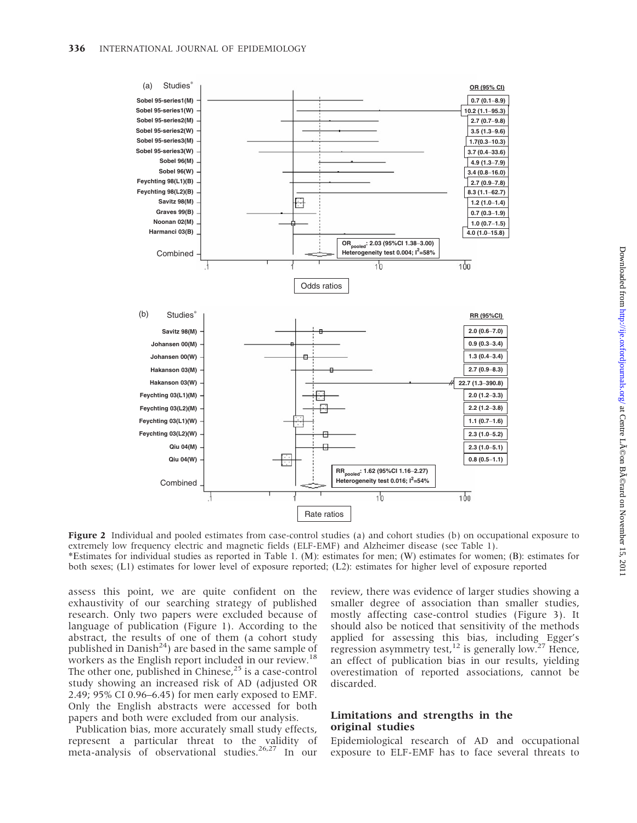

Figure 2 Individual and pooled estimates from case-control studies (a) and cohort studies (b) on occupational exposure to extremely low frequency electric and magnetic fields (ELF-EMF) and Alzheimer disease (see Table 1). \*Estimates for individual studies as reported in Table 1. (M): estimates for men; (W) estimates for women; (B): estimates for both sexes; (L1) estimates for lower level of exposure reported; (L2): estimates for higher level of exposure reported

assess this point, we are quite confident on the exhaustivity of our searching strategy of published research. Only two papers were excluded because of language of publication (Figure 1). According to the abstract, the results of one of them (a cohort study published in Danish<sup>24</sup>) are based in the same sample of workers as the English report included in our review.<sup>18</sup> The other one, published in Chinese, $^{25}$  is a case-control study showing an increased risk of AD (adjusted OR 2.49; 95% CI 0.96–6.45) for men early exposed to EMF. Only the English abstracts were accessed for both papers and both were excluded from our analysis.

Publication bias, more accurately small study effects, represent a particular threat to the validity of meta-analysis of observational studies.<sup>26,27</sup> In our review, there was evidence of larger studies showing a smaller degree of association than smaller studies, mostly affecting case-control studies (Figure 3). It should also be noticed that sensitivity of the methods applied for assessing this bias, including Egger's regression asymmetry test,<sup>12</sup> is generally low.<sup>27</sup> Hence, an effect of publication bias in our results, yielding overestimation of reported associations, cannot be discarded.

#### Limitations and strengths in the original studies

Epidemiological research of AD and occupational exposure to ELF-EMF has to face several threats to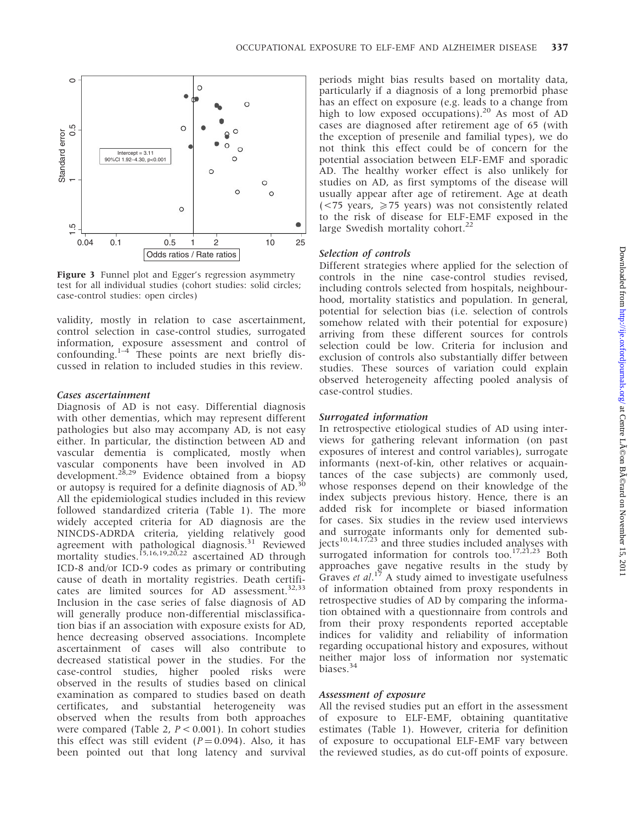

Figure 3 Funnel plot and Egger's regression asymmetry test for all individual studies (cohort studies: solid circles; case-control studies: open circles)

validity, mostly in relation to case ascertainment, control selection in case-control studies, surrogated information, exposure assessment and control of confounding. $1-4$  These points are next briefly discussed in relation to included studies in this review.

#### Cases ascertainment

Diagnosis of AD is not easy. Differential diagnosis with other dementias, which may represent different pathologies but also may accompany AD, is not easy either. In particular, the distinction between AD and vascular dementia is complicated, mostly when vascular components have been involved in AD development.<sup>28,29</sup> Evidence obtained from a biopsy or autopsy is required for a definite diagnosis of  $A\overline{D}$ .<sup>30</sup> All the epidemiological studies included in this review followed standardized criteria (Table 1). The more widely accepted criteria for AD diagnosis are the NINCDS-ADRDA criteria, yielding relatively good agreement with pathological diagnosis.<sup>31</sup> Reviewed mortality studies.<sup>15,16,19,20,22</sup> ascertained AD through ICD-8 and/or ICD-9 codes as primary or contributing cause of death in mortality registries. Death certificates are limited sources for AD assessment.<sup>32,33</sup> Inclusion in the case series of false diagnosis of AD will generally produce non-differential misclassification bias if an association with exposure exists for AD, hence decreasing observed associations. Incomplete ascertainment of cases will also contribute to decreased statistical power in the studies. For the case-control studies, higher pooled risks were observed in the results of studies based on clinical examination as compared to studies based on death certificates, and substantial heterogeneity was observed when the results from both approaches were compared (Table 2,  $P < 0.001$ ). In cohort studies this effect was still evident  $(P = 0.094)$ . Also, it has been pointed out that long latency and survival periods might bias results based on mortality data, particularly if a diagnosis of a long premorbid phase has an effect on exposure (e.g. leads to a change from high to low exposed occupations).<sup>20</sup> As most of AD cases are diagnosed after retirement age of 65 (with the exception of presenile and familial types), we do not think this effect could be of concern for the potential association between ELF-EMF and sporadic AD. The healthy worker effect is also unlikely for studies on AD, as first symptoms of the disease will usually appear after age of retirement. Age at death  $(< 75$  years,  $\geq 75$  years) was not consistently related to the risk of disease for ELF-EMF exposed in the large Swedish mortality cohort. $^{22}$ 

#### Selection of controls

Different strategies where applied for the selection of controls in the nine case-control studies revised, including controls selected from hospitals, neighbourhood, mortality statistics and population. In general, potential for selection bias (i.e. selection of controls somehow related with their potential for exposure) arriving from these different sources for controls selection could be low. Criteria for inclusion and exclusion of controls also substantially differ between studies. These sources of variation could explain observed heterogeneity affecting pooled analysis of case-control studies.

#### Surrogated information

In retrospective etiological studies of AD using interviews for gathering relevant information (on past exposures of interest and control variables), surrogate informants (next-of-kin, other relatives or acquaintances of the case subjects) are commonly used, whose responses depend on their knowledge of the index subjects previous history. Hence, there is an added risk for incomplete or biased information for cases. Six studies in the review used interviews and surrogate informants only for demented sub $jects<sup>10,14,17,23</sup>$  and three studies included analyses with surrogated information for controls too. $17,21,23$  Both approaches gave negative results in the study by Graves et al.<sup>17</sup> A study aimed to investigate usefulness of information obtained from proxy respondents in retrospective studies of AD by comparing the information obtained with a questionnaire from controls and from their proxy respondents reported acceptable indices for validity and reliability of information regarding occupational history and exposures, without neither major loss of information nor systematic biases.<sup>34</sup>

#### Assessment of exposure

All the revised studies put an effort in the assessment of exposure to ELF-EMF, obtaining quantitative estimates (Table 1). However, criteria for definition of exposure to occupational ELF-EMF vary between the reviewed studies, as do cut-off points of exposure.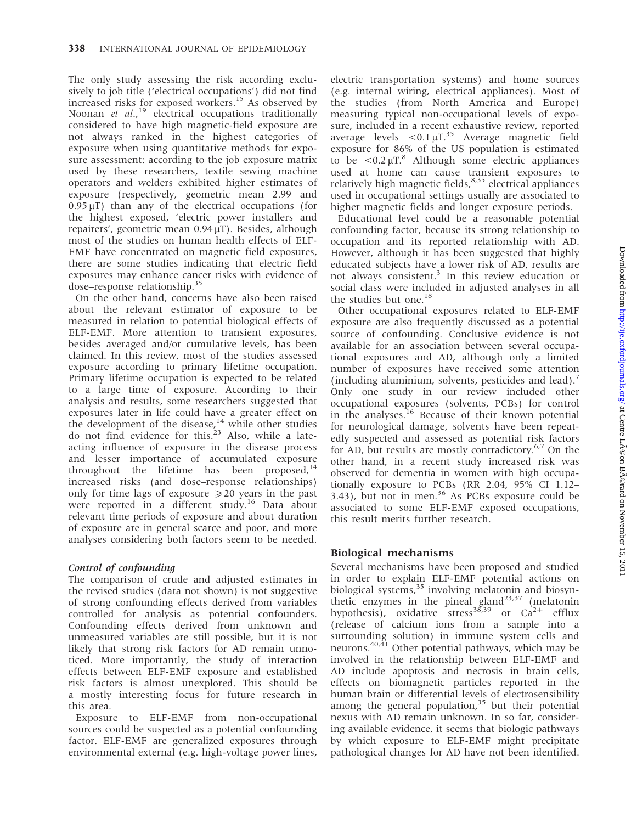The only study assessing the risk according exclusively to job title ('electrical occupations') did not find increased risks for exposed workers.<sup>15</sup> As observed by Noonan et al., $^{19}$  electrical occupations traditionally considered to have high magnetic-field exposure are not always ranked in the highest categories of exposure when using quantitative methods for exposure assessment: according to the job exposure matrix used by these researchers, textile sewing machine operators and welders exhibited higher estimates of exposure (respectively, geometric mean 2.99 and  $0.95 \mu T$ ) than any of the electrical occupations (for the highest exposed, 'electric power installers and repairers', geometric mean  $0.94 \mu T$ ). Besides, although most of the studies on human health effects of ELF-EMF have concentrated on magnetic field exposures, there are some studies indicating that electric field exposures may enhance cancer risks with evidence of dose–response relationship.35

On the other hand, concerns have also been raised about the relevant estimator of exposure to be measured in relation to potential biological effects of ELF-EMF. More attention to transient exposures, besides averaged and/or cumulative levels, has been claimed. In this review, most of the studies assessed exposure according to primary lifetime occupation. Primary lifetime occupation is expected to be related to a large time of exposure. According to their analysis and results, some researchers suggested that exposures later in life could have a greater effect on the development of the disease, $14$  while other studies do not find evidence for this.<sup>23</sup> Also, while a lateacting influence of exposure in the disease process and lesser importance of accumulated exposure throughout the lifetime has been proposed,<sup>14</sup> increased risks (and dose–response relationships) only for time lags of exposure  $\geq 20$  years in the past were reported in a different study.<sup>16</sup> Data about relevant time periods of exposure and about duration of exposure are in general scarce and poor, and more analyses considering both factors seem to be needed.

### Control of confounding

The comparison of crude and adjusted estimates in the revised studies (data not shown) is not suggestive of strong confounding effects derived from variables controlled for analysis as potential confounders. Confounding effects derived from unknown and unmeasured variables are still possible, but it is not likely that strong risk factors for AD remain unnoticed. More importantly, the study of interaction effects between ELF-EMF exposure and established risk factors is almost unexplored. This should be a mostly interesting focus for future research in this area.

Exposure to ELF-EMF from non-occupational sources could be suspected as a potential confounding factor. ELF-EMF are generalized exposures through environmental external (e.g. high-voltage power lines,

electric transportation systems) and home sources (e.g. internal wiring, electrical appliances). Most of the studies (from North America and Europe) measuring typical non-occupational levels of exposure, included in a recent exhaustive review, reported average levels  $\lt 0.1 \mu T^{35}$  Average magnetic field exposure for 86% of the US population is estimated to be  $\langle 0.2 \mu T$ .<sup>8</sup> Although some electric appliances used at home can cause transient exposures to relatively high magnetic fields, $8,35$  electrical appliances used in occupational settings usually are associated to higher magnetic fields and longer exposure periods.

Educational level could be a reasonable potential confounding factor, because its strong relationship to occupation and its reported relationship with AD. However, although it has been suggested that highly educated subjects have a lower risk of AD, results are not always consistent.<sup>3</sup> In this review education or social class were included in adjusted analyses in all the studies but one.<sup>18</sup>

Other occupational exposures related to ELF-EMF exposure are also frequently discussed as a potential source of confounding. Conclusive evidence is not available for an association between several occupational exposures and AD, although only a limited number of exposures have received some attention (including aluminium, solvents, pesticides and lead). $<sup>7</sup>$ </sup> Only one study in our review included other occupational exposures (solvents, PCBs) for control in the analyses.<sup>16</sup> Because of their known potential for neurological damage, solvents have been repeatedly suspected and assessed as potential risk factors for AD, but results are mostly contradictory.<sup>6,7</sup> On the other hand, in a recent study increased risk was observed for dementia in women with high occupationally exposure to PCBs (RR 2.04, 95% CI 1.12–  $3.43$ ), but not in men.<sup>36</sup> As PCBs exposure could be associated to some ELF-EMF exposed occupations, this result merits further research.

## Biological mechanisms

Several mechanisms have been proposed and studied in order to explain ELF-EMF potential actions on biological systems,<sup>35</sup> involving melatonin and biosynthetic enzymes in the pineal gland<sup>23,37</sup> (melatonin hypothesis), oxidative stress<sup>38,39</sup> or  $Ca^{2+}$  efflux (release of calcium ions from a sample into a surrounding solution) in immune system cells and neurons. $40,41$  Other potential pathways, which may be involved in the relationship between ELF-EMF and AD include apoptosis and necrosis in brain cells, effects on biomagnetic particles reported in the human brain or differential levels of electrosensibility among the general population, $35$  but their potential nexus with AD remain unknown. In so far, considering available evidence, it seems that biologic pathways by which exposure to ELF-EMF might precipitate pathological changes for AD have not been identified.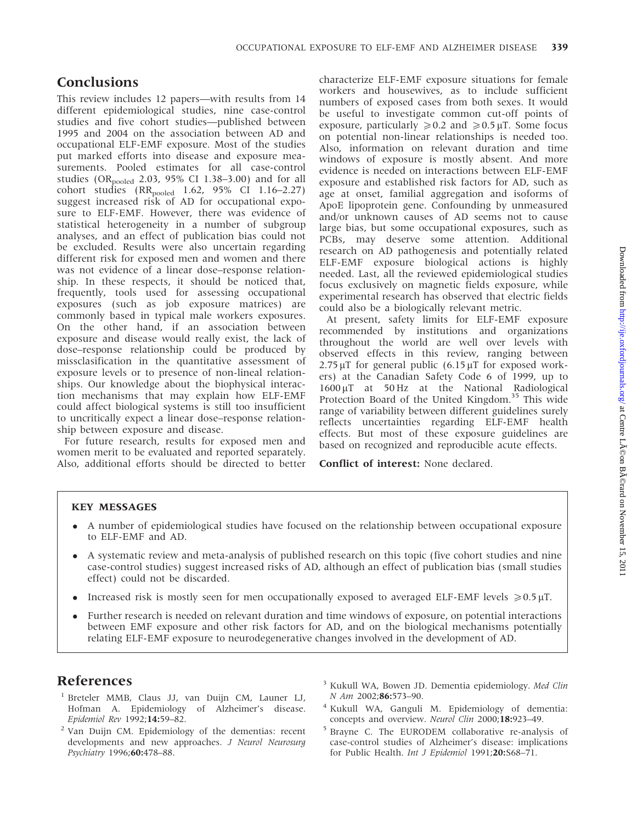# **Conclusions**

This review includes 12 papers—with results from 14 different epidemiological studies, nine case-control studies and five cohort studies—published between 1995 and 2004 on the association between AD and occupational ELF-EMF exposure. Most of the studies put marked efforts into disease and exposure measurements. Pooled estimates for all case-control studies (OR<sub>pooled</sub> 2.03, 95% CI 1.38-3.00) and for all cohort studies  $(RR_{pooled} 1.62, 95\% CI 1.16-2.27)$ suggest increased risk of AD for occupational exposure to ELF-EMF. However, there was evidence of statistical heterogeneity in a number of subgroup analyses, and an effect of publication bias could not be excluded. Results were also uncertain regarding different risk for exposed men and women and there was not evidence of a linear dose–response relationship. In these respects, it should be noticed that, frequently, tools used for assessing occupational exposures (such as job exposure matrices) are commonly based in typical male workers exposures. On the other hand, if an association between exposure and disease would really exist, the lack of dose–response relationship could be produced by missclasification in the quantitative assessment of exposure levels or to presence of non-lineal relationships. Our knowledge about the biophysical interaction mechanisms that may explain how ELF-EMF could affect biological systems is still too insufficient to uncritically expect a linear dose–response relationship between exposure and disease.

For future research, results for exposed men and women merit to be evaluated and reported separately. Also, additional efforts should be directed to better characterize ELF-EMF exposure situations for female workers and housewives, as to include sufficient numbers of exposed cases from both sexes. It would be useful to investigate common cut-off points of exposure, particularly  $\geq 0.2$  and  $\geq 0.5 \mu$ T. Some focus on potential non-linear relationships is needed too. Also, information on relevant duration and time windows of exposure is mostly absent. And more evidence is needed on interactions between ELF-EMF exposure and established risk factors for AD, such as age at onset, familial aggregation and isoforms of ApoE lipoprotein gene. Confounding by unmeasured and/or unknown causes of AD seems not to cause large bias, but some occupational exposures, such as PCBs, may deserve some attention. Additional research on AD pathogenesis and potentially related ELF-EMF exposure biological actions is highly needed. Last, all the reviewed epidemiological studies focus exclusively on magnetic fields exposure, while experimental research has observed that electric fields could also be a biologically relevant metric.

At present, safety limits for ELF-EMF exposure recommended by institutions and organizations throughout the world are well over levels with observed effects in this review, ranging between  $2.75 \mu T$  for general public (6.15  $\mu T$  for exposed workers) at the Canadian Safety Code 6 of 1999, up to  $1600 \mu T$  at  $50 \text{ Hz}$  at the National Radiological Protection Board of the United Kingdom.<sup>35</sup> This wide range of variability between different guidelines surely reflects uncertainties regarding ELF-EMF health effects. But most of these exposure guidelines are based on recognized and reproducible acute effects.

Conflict of interest: None declared.

#### KEY MESSAGES

- A number of epidemiological studies have focused on the relationship between occupational exposure to ELF-EMF and AD.
- A systematic review and meta-analysis of published research on this topic (five cohort studies and nine case-control studies) suggest increased risks of AD, although an effect of publication bias (small studies effect) could not be discarded.
- Increased risk is mostly seen for men occupationally exposed to averaged ELF-EMF levels  $\geq 0.5 \mu$ T.
- Further research is needed on relevant duration and time windows of exposure, on potential interactions between EMF exposure and other risk factors for AD, and on the biological mechanisms potentially relating ELF-EMF exposure to neurodegenerative changes involved in the development of AD.

# References

- <sup>1</sup> Breteler MMB, Claus JJ, van Duijn CM, Launer LJ, Hofman A. Epidemiology of Alzheimer's disease. Epidemiol Rev 1992;14:59–82.
- <sup>2</sup> Van Duijn CM. Epidemiology of the dementias: recent developments and new approaches. J Neurol Neurosurg Psychiatry 1996;60:478–88.

<sup>3</sup> Kukull WA, Bowen JD. Dementia epidemiology. Med Clin N Am 2002;86:573–90.

- <sup>4</sup> Kukull WA, Ganguli M. Epidemiology of dementia: concepts and overview. Neurol Clin 2000;18:923–49.
- <sup>5</sup> Brayne C. The EURODEM collaborative re-analysis of case-control studies of Alzheimer's disease: implications for Public Health. Int J Epidemiol 1991;20:S68-71.